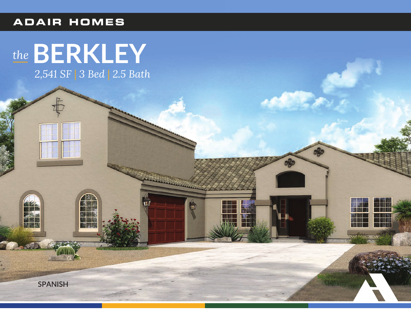### **ADAIR HOMES**

# the BERKLEY 2,541 SF | 3 Bed | 2.5 Bath

**AND** 

W.

**SPANISH**